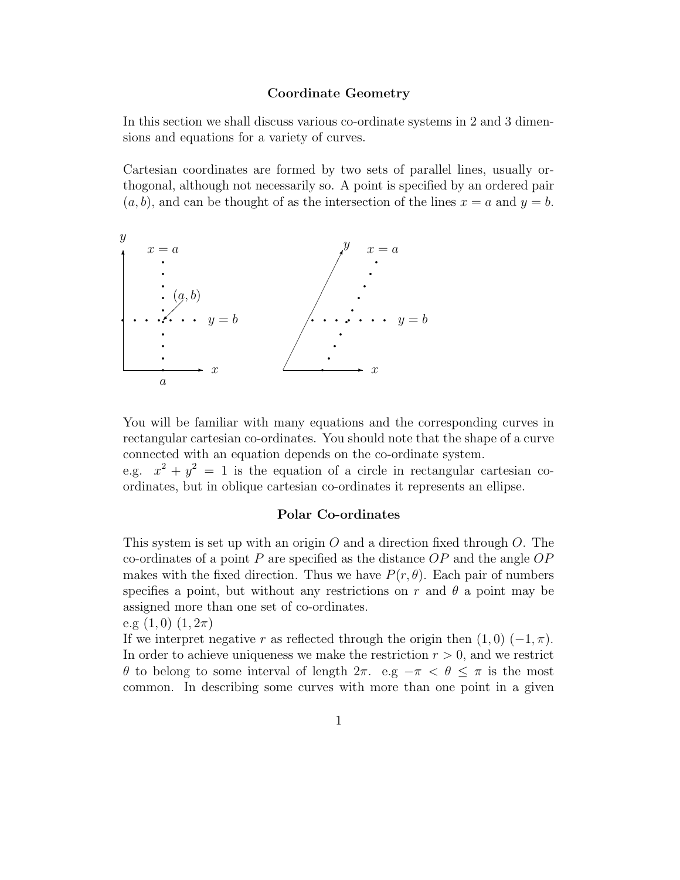## Coordinate Geometry

In this section we shall discuss various co-ordinate systems in 2 and 3 dimensions and equations for a variety of curves.

Cartesian coordinates are formed by two sets of parallel lines, usually orthogonal, although not necessarily so. A point is specified by an ordered pair  $(a, b)$ , and can be thought of as the intersection of the lines  $x = a$  and  $y = b$ .



You will be familiar with many equations and the corresponding curves in rectangular cartesian co-ordinates. You should note that the shape of a curve connected with an equation depends on the co-ordinate system.

e.g.  $x^2 + y^2 = 1$  is the equation of a circle in rectangular cartesian coordinates, but in oblique cartesian co-ordinates it represents an ellipse.

## Polar Co-ordinates

This system is set up with an origin  $O$  and a direction fixed through  $O$ . The co-ordinates of a point P are specified as the distance  $OP$  and the angle  $OP$ makes with the fixed direction. Thus we have  $P(r, \theta)$ . Each pair of numbers specifies a point, but without any restrictions on r and  $\theta$  a point may be assigned more than one set of co-ordinates.

e.g  $(1,0)$   $(1,2\pi)$ 

If we interpret negative r as reflected through the origin then  $(1, 0)$  ( $-1, \pi$ ). In order to achieve uniqueness we make the restriction  $r > 0$ , and we restrict θ to belong to some interval of length 2π. e.g −π < θ ≤ π is the most common. In describing some curves with more than one point in a given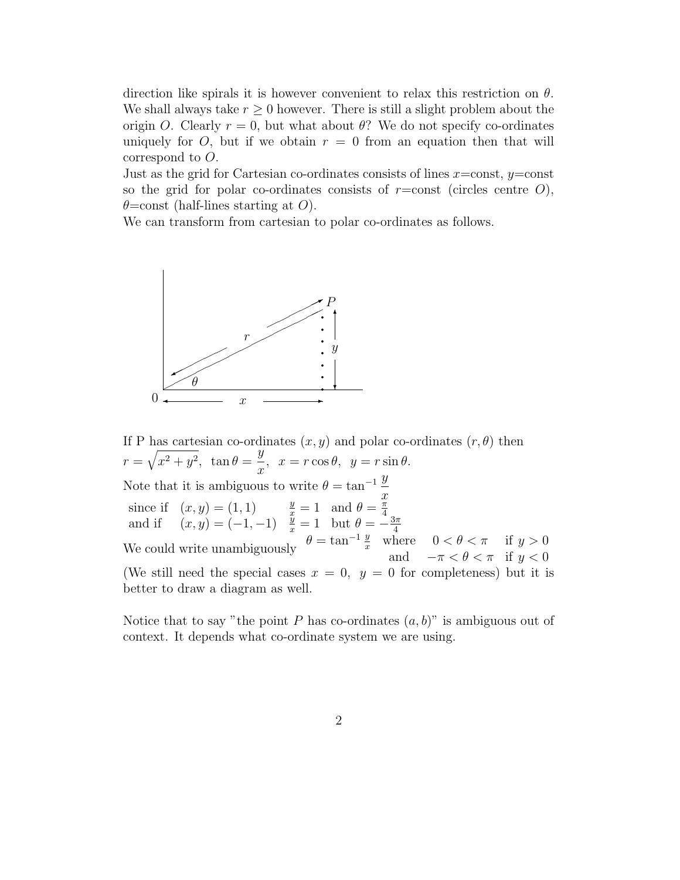direction like spirals it is however convenient to relax this restriction on  $\theta$ . We shall always take  $r \geq 0$  however. There is still a slight problem about the origin O. Clearly  $r = 0$ , but what about  $\theta$ ? We do not specify co-ordinates uniquely for O, but if we obtain  $r = 0$  from an equation then that will correspond to O.

Just as the grid for Cartesian co-ordinates consists of lines  $x = \text{const}$ ,  $y = \text{const}$ so the grid for polar co-ordinates consists of  $r = \text{const}$  (circles centre O),  $\theta$ =const (half-lines starting at O).

We can transform from cartesian to polar co-ordinates as follows.



If P has cartesian co-ordinates  $(x, y)$  and polar co-ordinates  $(r, \theta)$  then  $r = \sqrt{x^2 + y^2}$ ,  $\tan \theta =$  $\overline{y}$  $\frac{y}{x}$ ,  $x = r \cos \theta$ ,  $y = r \sin \theta$ . Note that it is ambiguous to write  $\theta = \tan^{-1} \frac{y}{x}$  $\overline{x}$ since if  $(x, y) = (1, 1)$   $\frac{y}{x} = 1$  and  $\theta = \frac{\pi}{4}$ and if  $(x, y) = (1, 1)$ <br>and if  $(x, y) = (-1, -1)$   $\frac{y}{x} = 1$  but  $\theta = -\frac{3\pi}{4}$ We could write unambiguously  $\theta = \tan^{-1} \frac{y}{x}$  where  $0 < \theta < \pi$  if  $y > 0$ <br>We could write unambiguously  $\theta = \tan^{-1} \frac{y}{x}$  where  $0 < \theta < \pi$  if  $y > 0$ and  $-\pi < \theta < \pi$  if  $y < 0$ (We still need the special cases  $x = 0$ ,  $y = 0$  for completeness) but it is better to draw a diagram as well.

Notice that to say "the point P has co-ordinates  $(a, b)$ " is ambiguous out of context. It depends what co-ordinate system we are using.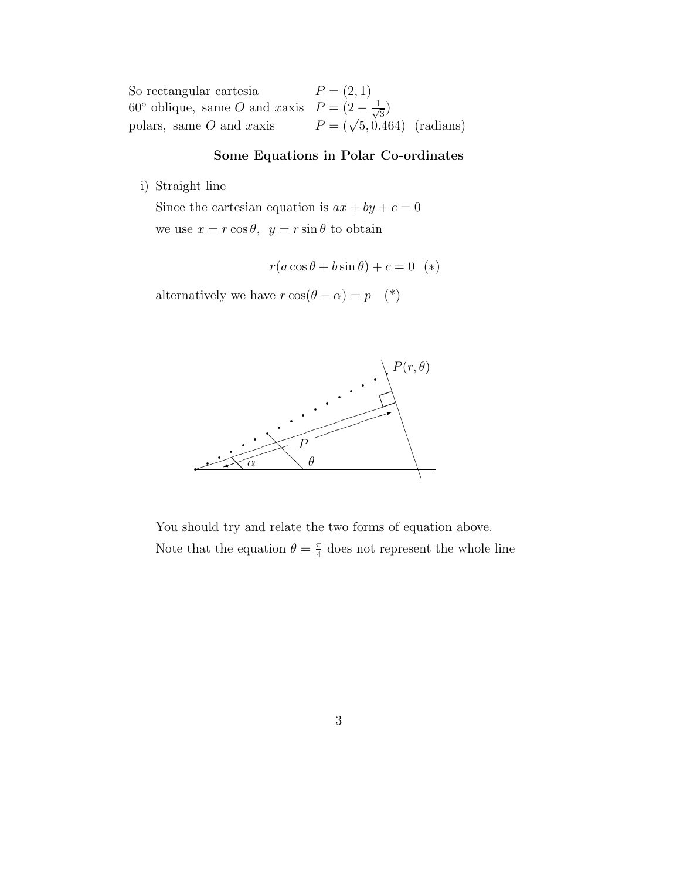So rectangular cartesia  $P = (2, 1)$ 60° oblique, same O and xaxis  $P = (2 - \frac{1}{\sqrt{2}})$  $\frac{1}{3})$ polars, same O and xaxis  $P = (\sqrt{5}, 0.464)$  (radians)

## Some Equations in Polar Co-ordinates

i) Straight line

Since the cartesian equation is  $ax + by + c = 0$ we use  $x = r \cos \theta$ ,  $y = r \sin \theta$  to obtain

$$
r(a\cos\theta + b\sin\theta) + c = 0
$$
 (\*)

alternatively we have  $r\cos(\theta-\alpha)=p \quad (*)$ 



You should try and relate the two forms of equation above. Note that the equation  $\theta = \frac{\pi}{4}$  $\frac{\pi}{4}$  does not represent the whole line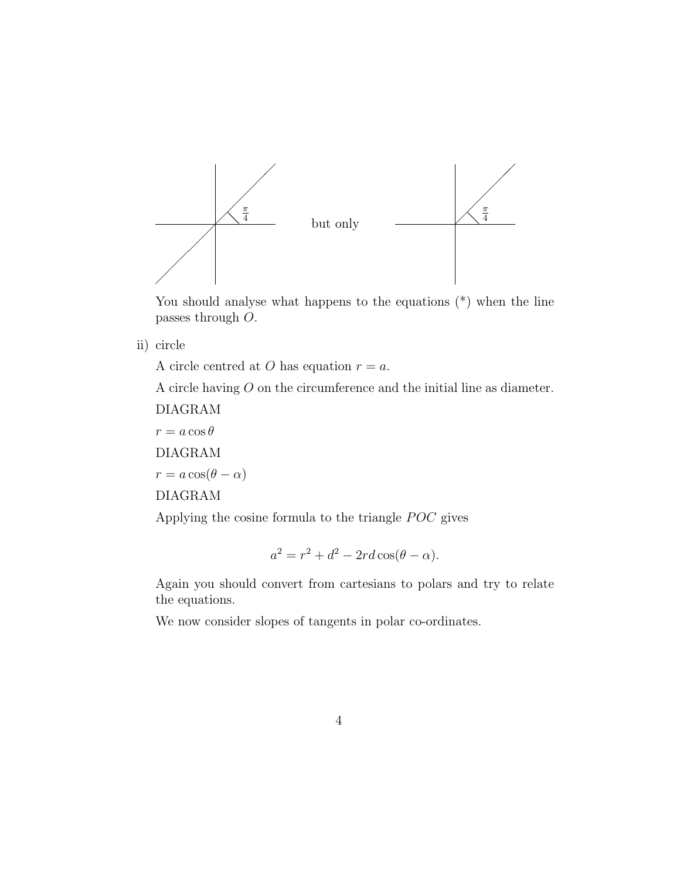

You should analyse what happens to the equations (\*) when the line passes through O.

ii) circle

A circle centred at O has equation  $r = a$ .

A circle having O on the circumference and the initial line as diameter.

DIAGRAM  $r = a \cos \theta$ DIAGRAM  $r = a \cos(\theta - \alpha)$ DIAGRAM

Applying the cosine formula to the triangle POC gives

$$
a^2 = r^2 + d^2 - 2rd\cos(\theta - \alpha).
$$

Again you should convert from cartesians to polars and try to relate the equations.

We now consider slopes of tangents in polar co-ordinates.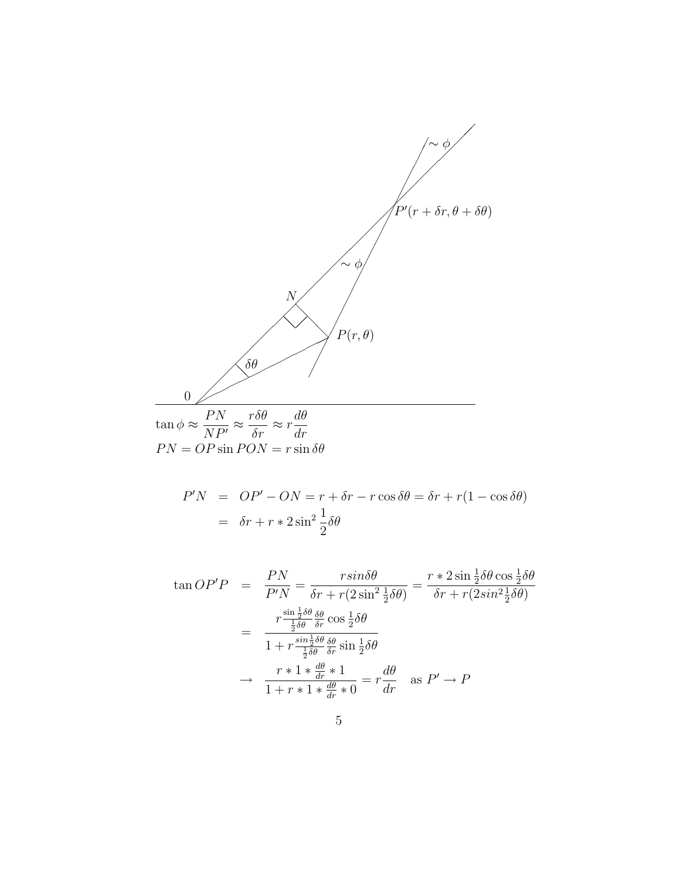

$$
P'N = OP' - ON = r + \delta r - r \cos \delta \theta = \delta r + r(1 - \cos \delta \theta)
$$

$$
= \delta r + r * 2 \sin^2 \frac{1}{2} \delta \theta
$$

$$
\tan OP'P = \frac{PN}{P'N} = \frac{rsin\delta\theta}{\delta r + r(2\sin^2\frac{1}{2}\delta\theta)} = \frac{r * 2\sin\frac{1}{2}\delta\theta\cos\frac{1}{2}\delta\theta}{\delta r + r(2sin^2\frac{1}{2}\delta\theta)}
$$

$$
= \frac{r\frac{\sin\frac{1}{2}\delta\theta}{\frac{1}{2}\delta\theta}\frac{\delta\theta}{\delta r}\cos\frac{1}{2}\delta\theta}{1 + r\frac{\sin\frac{1}{2}\delta\theta}{\frac{1}{2}\delta\theta}\frac{\delta\theta}{\delta r}\sin\frac{1}{2}\delta\theta}
$$

$$
\rightarrow \frac{r * 1 * \frac{d\theta}{dr} * 1}{1 + r * 1 * \frac{d\theta}{dr} * 0} = r\frac{d\theta}{dr} \text{ as } P' \rightarrow P
$$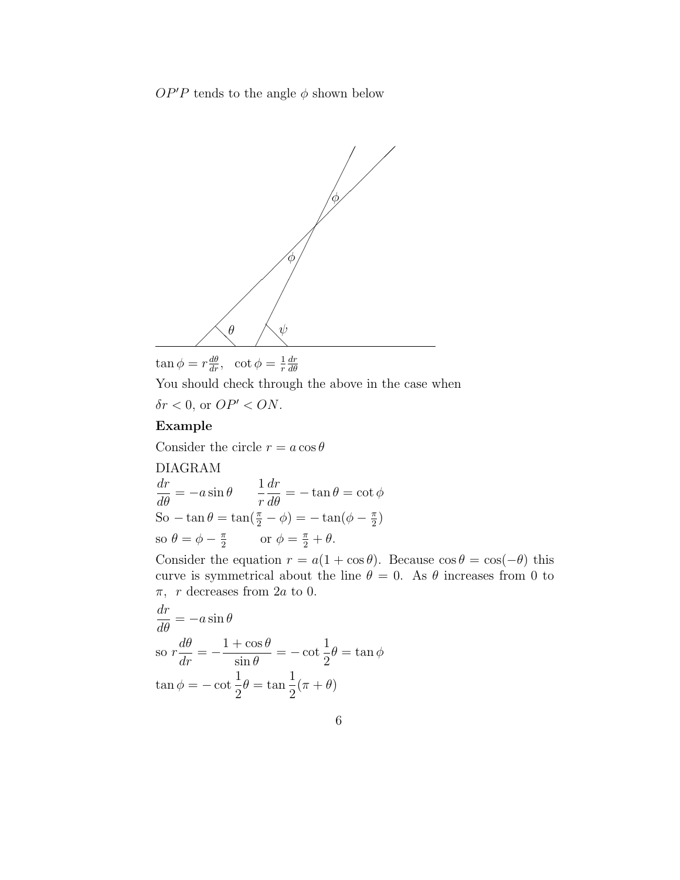$OP'P$  tends to the angle  $\phi$  shown below



$$
\tan \phi = r \frac{d\theta}{dr}, \quad \cot \phi = \frac{1}{r} \frac{dr}{d\theta}
$$

You should check through the above in the case when  $\delta r < 0$ , or  $OP' < ON$ .

## Example

Consider the circle  $r = a \cos \theta$ 

DIAGRAM  
\n
$$
\frac{dr}{d\theta} = -a\sin\theta \qquad \frac{1}{r}\frac{dr}{d\theta} = -\tan\theta = \cot\phi
$$
\nSo  $-\tan\theta = \tan(\frac{\pi}{2} - \phi) = -\tan(\phi - \frac{\pi}{2})$   
\nso  $\theta = \phi - \frac{\pi}{2}$  or  $\phi = \frac{\pi}{2} + \theta$ .

Consider the equation  $r = a(1 + \cos \theta)$ . Because  $\cos \theta = \cos(-\theta)$  this curve is symmetrical about the line  $\theta = 0$ . As  $\theta$  increases from 0 to  $\pi$ , r decreases from 2*a* to 0.

$$
\frac{dr}{d\theta} = -a\sin\theta
$$
  
so  $r\frac{d\theta}{dr} = -\frac{1+\cos\theta}{\sin\theta} = -\cot\frac{1}{2}\theta = \tan\phi$   
 $\tan\phi = -\cot\frac{1}{2}\theta = \tan\frac{1}{2}(\pi + \theta)$